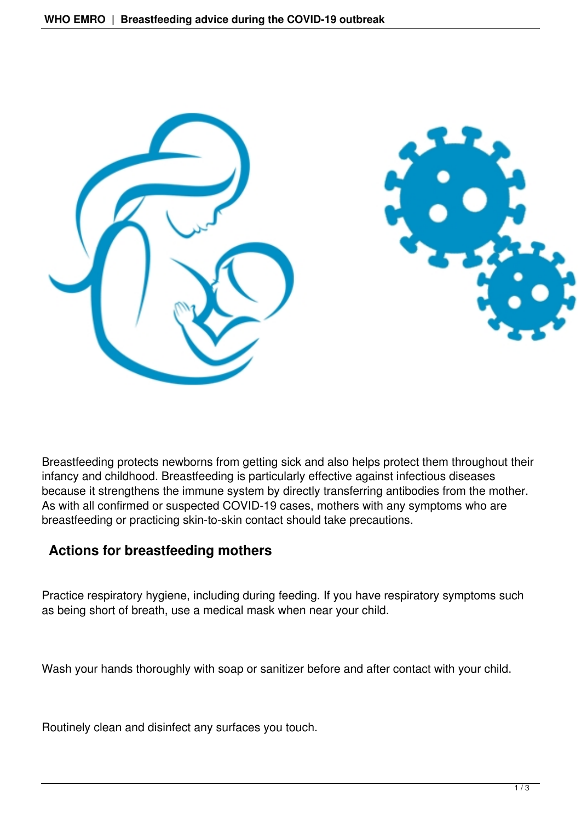

Breastfeeding protects newborns from getting sick and also helps protect them throughout their infancy and childhood. Breastfeeding is particularly effective against infectious diseases because it strengthens the immune system by directly transferring antibodies from the mother. As with all confirmed or suspected COVID-19 cases, mothers with any symptoms who are breastfeeding or practicing skin-to-skin contact should take precautions.

## **Actions for breastfeeding mothers**

Practice respiratory hygiene, including during feeding. If you have respiratory symptoms such as being short of breath, use a medical mask when near your child.

Wash your hands thoroughly with soap or sanitizer before and after contact with your child.

Routinely clean and disinfect any surfaces you touch.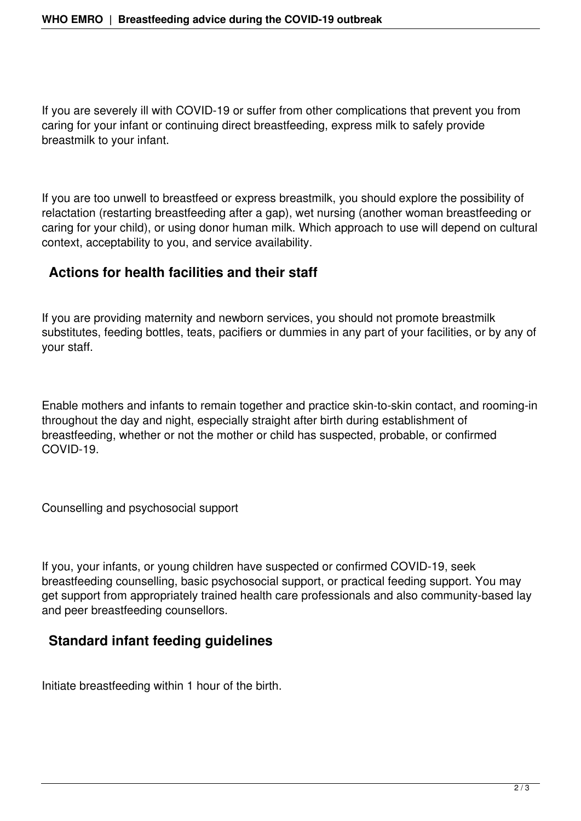If you are severely ill with COVID-19 or suffer from other complications that prevent you from caring for your infant or continuing direct breastfeeding, express milk to safely provide breastmilk to your infant.

If you are too unwell to breastfeed or express breastmilk, you should explore the possibility of relactation (restarting breastfeeding after a gap), wet nursing (another woman breastfeeding or caring for your child), or using donor human milk. Which approach to use will depend on cultural context, acceptability to you, and service availability.

## **Actions for health facilities and their staff**

If you are providing maternity and newborn services, you should not promote breastmilk substitutes, feeding bottles, teats, pacifiers or dummies in any part of your facilities, or by any of your staff.

Enable mothers and infants to remain together and practice skin-to-skin contact, and rooming-in throughout the day and night, especially straight after birth during establishment of breastfeeding, whether or not the mother or child has suspected, probable, or confirmed COVID-19.

Counselling and psychosocial support

If you, your infants, or young children have suspected or confirmed COVID-19, seek breastfeeding counselling, basic psychosocial support, or practical feeding support. You may get support from appropriately trained health care professionals and also community-based lay and peer breastfeeding counsellors.

## **Standard infant feeding guidelines**

Initiate breastfeeding within 1 hour of the birth.